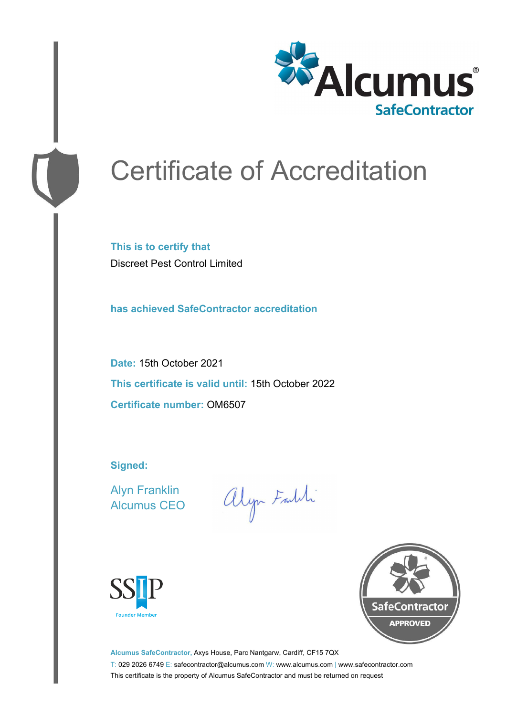

# Certificate of Accreditation

**This is to certify that** Discreet Pest Control Limited

**has achieved SafeContractor accreditation**

**Date:** 15th October 2021 **This certificate is valid until:** 15th October 2022 **Certificate number:** OM6507

**Signed:**

Alyn Franklin Alcumus CEO

alyn Faith





**Alcumus SafeContractor,** Axys House, Parc Nantgarw, Cardiff, CF15 7QX T: 029 2026 6749 E: safecontractor@alcumus.com W: www.alcumus.com | www.safecontractor.com This certificate is the property of Alcumus SafeContractor and must be returned on request